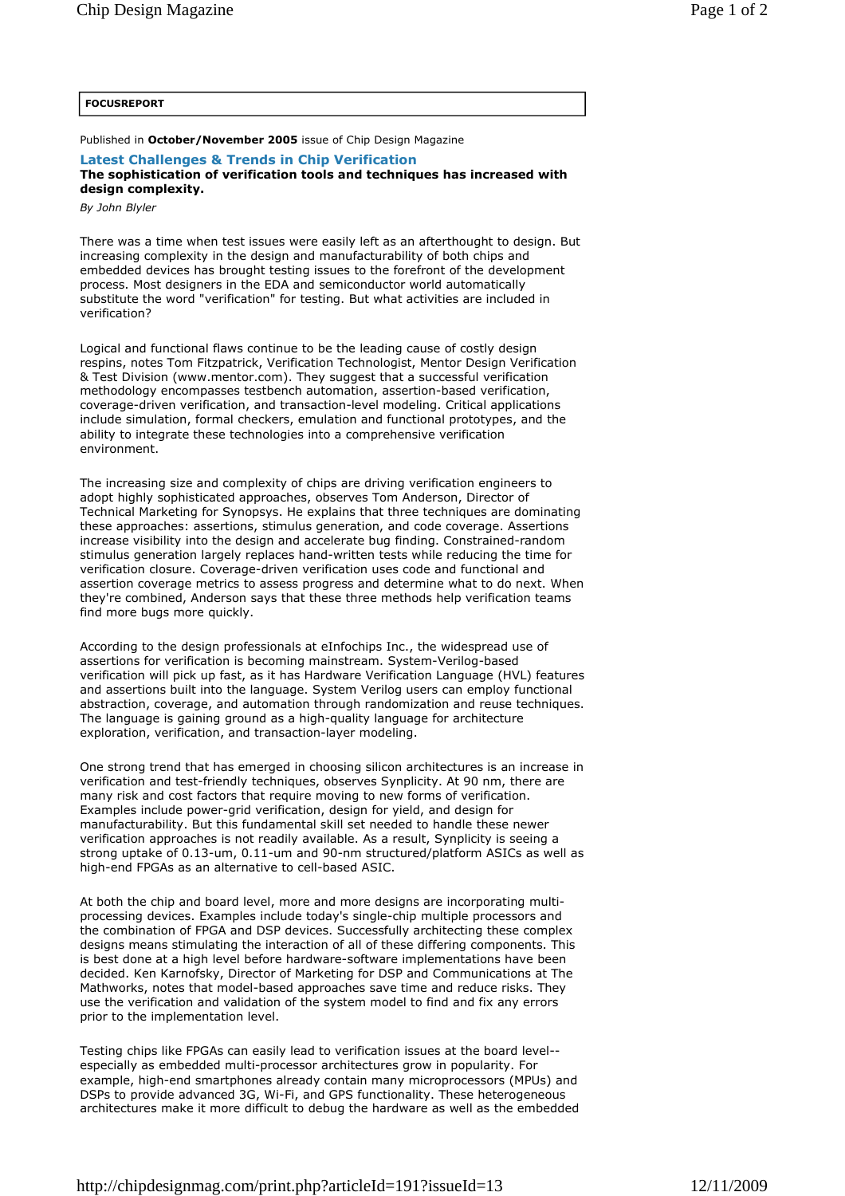Published in **October/November 2005** issue of Chip Design Magazine

## **Latest Challenges & Trends in Chip Verification The sophistication of verification tools and techniques has increased with design complexity.**

*By John Blyler* 

There was a time when test issues were easily left as an afterthought to design. But increasing complexity in the design and manufacturability of both chips and embedded devices has brought testing issues to the forefront of the development process. Most designers in the EDA and semiconductor world automatically substitute the word "verification" for testing. But what activities are included in verification?

Logical and functional flaws continue to be the leading cause of costly design respins, notes Tom Fitzpatrick, Verification Technologist, Mentor Design Verification & Test Division (www.mentor.com). They suggest that a successful verification methodology encompasses testbench automation, assertion-based verification, coverage-driven verification, and transaction-level modeling. Critical applications include simulation, formal checkers, emulation and functional prototypes, and the ability to integrate these technologies into a comprehensive verification environment.

The increasing size and complexity of chips are driving verification engineers to adopt highly sophisticated approaches, observes Tom Anderson, Director of Technical Marketing for Synopsys. He explains that three techniques are dominating these approaches: assertions, stimulus generation, and code coverage. Assertions increase visibility into the design and accelerate bug finding. Constrained-random stimulus generation largely replaces hand-written tests while reducing the time for verification closure. Coverage-driven verification uses code and functional and assertion coverage metrics to assess progress and determine what to do next. When they're combined, Anderson says that these three methods help verification teams find more bugs more quickly.

According to the design professionals at eInfochips Inc., the widespread use of assertions for verification is becoming mainstream. System-Verilog-based verification will pick up fast, as it has Hardware Verification Language (HVL) features and assertions built into the language. System Verilog users can employ functional abstraction, coverage, and automation through randomization and reuse techniques. The language is gaining ground as a high-quality language for architecture exploration, verification, and transaction-layer modeling.

One strong trend that has emerged in choosing silicon architectures is an increase in verification and test-friendly techniques, observes Synplicity. At 90 nm, there are many risk and cost factors that require moving to new forms of verification. Examples include power-grid verification, design for yield, and design for manufacturability. But this fundamental skill set needed to handle these newer verification approaches is not readily available. As a result, Synplicity is seeing a strong uptake of 0.13-um, 0.11-um and 90-nm structured/platform ASICs as well as high-end FPGAs as an alternative to cell-based ASIC.

At both the chip and board level, more and more designs are incorporating multiprocessing devices. Examples include today's single-chip multiple processors and the combination of FPGA and DSP devices. Successfully architecting these complex designs means stimulating the interaction of all of these differing components. This is best done at a high level before hardware-software implementations have been decided. Ken Karnofsky, Director of Marketing for DSP and Communications at The Mathworks, notes that model-based approaches save time and reduce risks. They use the verification and validation of the system model to find and fix any errors prior to the implementation level.

Testing chips like FPGAs can easily lead to verification issues at the board level- especially as embedded multi-processor architectures grow in popularity. For example, high-end smartphones already contain many microprocessors (MPUs) and DSPs to provide advanced 3G, Wi-Fi, and GPS functionality. These heterogeneous architectures make it more difficult to debug the hardware as well as the embedded